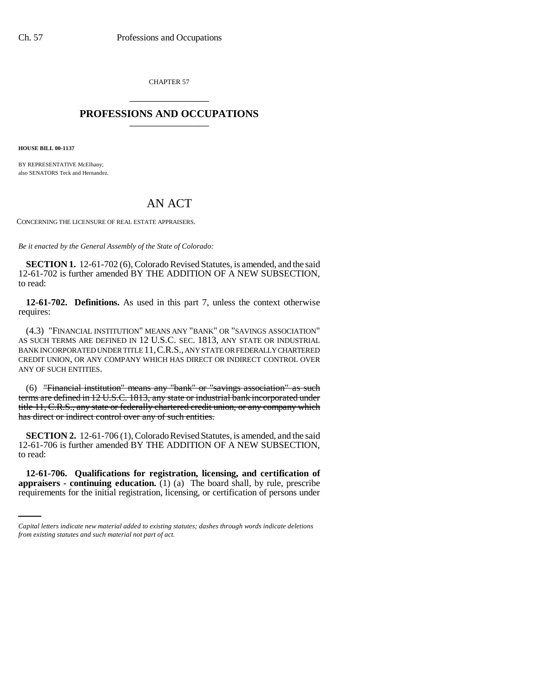CHAPTER 57 \_\_\_\_\_\_\_\_\_\_\_\_\_\_\_

## **PROFESSIONS AND OCCUPATIONS** \_\_\_\_\_\_\_\_\_\_\_\_\_\_\_

**HOUSE BILL 00-1137** 

BY REPRESENTATIVE McElhany: also SENATORS Teck and Hernandez.

## AN ACT

CONCERNING THE LICENSURE OF REAL ESTATE APPRAISERS.

*Be it enacted by the General Assembly of the State of Colorado:*

**SECTION 1.** 12-61-702 (6), Colorado Revised Statutes, is amended, and the said 12-61-702 is further amended BY THE ADDITION OF A NEW SUBSECTION, to read:

**12-61-702. Definitions.** As used in this part 7, unless the context otherwise requires:

(4.3) "FINANCIAL INSTITUTION" MEANS ANY "BANK" OR "SAVINGS ASSOCIATION" AS SUCH TERMS ARE DEFINED IN 12 U.S.C. SEC. 1813, ANY STATE OR INDUSTRIAL BANK INCORPORATED UNDER TITLE 11,C.R.S., ANY STATE OR FEDERALLY CHARTERED CREDIT UNION, OR ANY COMPANY WHICH HAS DIRECT OR INDIRECT CONTROL OVER ANY OF SUCH ENTITIES.

(6) "Financial institution" means any "bank" or "savings association" as such terms are defined in 12 U.S.C. 1813, any state or industrial bank incorporated under title 11, C.R.S., any state or federally chartered credit union, or any company which has direct or indirect control over any of such entities.

**SECTION 2.** 12-61-706 (1), Colorado Revised Statutes, is amended, and the said 12-61-706 is further amended BY THE ADDITION OF A NEW SUBSECTION, to read:

 **12-61-706. Qualifications for registration, licensing, and certification of appraisers - continuing education.** (1) (a) The board shall, by rule, prescribe requirements for the initial registration, licensing, or certification of persons under

*Capital letters indicate new material added to existing statutes; dashes through words indicate deletions from existing statutes and such material not part of act.*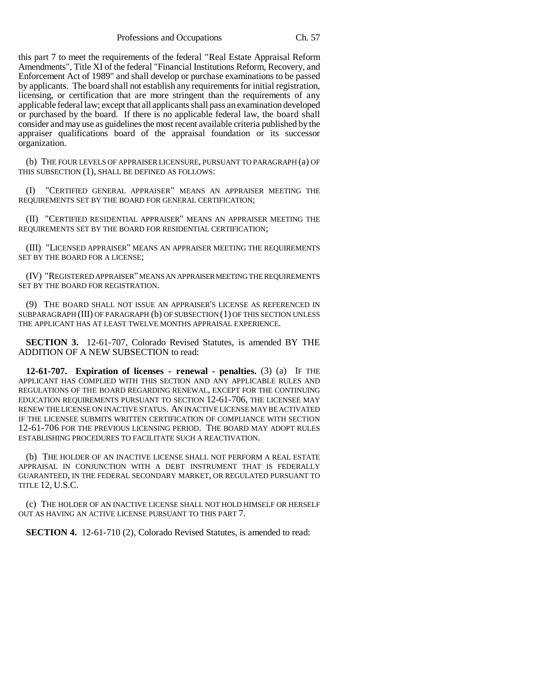this part 7 to meet the requirements of the federal "Real Estate Appraisal Reform Amendments", Title XI of the federal "Financial Institutions Reform, Recovery, and Enforcement Act of 1989" and shall develop or purchase examinations to be passed by applicants. The board shall not establish any requirements for initial registration, licensing, or certification that are more stringent than the requirements of any applicable federal law; except that all applicants shall pass an examination developed or purchased by the board. If there is no applicable federal law, the board shall consider and may use as guidelines the most recent available criteria published by the appraiser qualifications board of the appraisal foundation or its successor organization.

(b) THE FOUR LEVELS OF APPRAISER LICENSURE, PURSUANT TO PARAGRAPH (a) OF THIS SUBSECTION (1), SHALL BE DEFINED AS FOLLOWS:

(I) "CERTIFIED GENERAL APPRAISER" MEANS AN APPRAISER MEETING THE REQUIREMENTS SET BY THE BOARD FOR GENERAL CERTIFICATION;

(II) "CERTIFIED RESIDENTIAL APPRAISER" MEANS AN APPRAISER MEETING THE REQUIREMENTS SET BY THE BOARD FOR RESIDENTIAL CERTIFICATION;

(III) "LICENSED APPRAISER" MEANS AN APPRAISER MEETING THE REQUIREMENTS SET BY THE BOARD FOR A LICENSE;

(IV) "REGISTERED APPRAISER" MEANS AN APPRAISER MEETING THE REQUIREMENTS SET BY THE BOARD FOR REGISTRATION.

(9) THE BOARD SHALL NOT ISSUE AN APPRAISER'S LICENSE AS REFERENCED IN SUBPARAGRAPH (III) OF PARAGRAPH (b) OF SUBSECTION (1) OF THIS SECTION UNLESS THE APPLICANT HAS AT LEAST TWELVE MONTHS APPRAISAL EXPERIENCE.

**SECTION 3.** 12-61-707, Colorado Revised Statutes, is amended BY THE ADDITION OF A NEW SUBSECTION to read:

**12-61-707. Expiration of licenses - renewal - penalties.** (3) (a) IF THE APPLICANT HAS COMPLIED WITH THIS SECTION AND ANY APPLICABLE RULES AND REGULATIONS OF THE BOARD REGARDING RENEWAL, EXCEPT FOR THE CONTINUING EDUCATION REQUIREMENTS PURSUANT TO SECTION 12-61-706, THE LICENSEE MAY RENEW THE LICENSE ON INACTIVE STATUS. AN INACTIVE LICENSE MAY BE ACTIVATED IF THE LICENSEE SUBMITS WRITTEN CERTIFICATION OF COMPLIANCE WITH SECTION 12-61-706 FOR THE PREVIOUS LICENSING PERIOD. THE BOARD MAY ADOPT RULES ESTABLISHING PROCEDURES TO FACILITATE SUCH A REACTIVATION.

(b) THE HOLDER OF AN INACTIVE LICENSE SHALL NOT PERFORM A REAL ESTATE APPRAISAL IN CONJUNCTION WITH A DEBT INSTRUMENT THAT IS FEDERALLY GUARANTEED, IN THE FEDERAL SECONDARY MARKET, OR REGULATED PURSUANT TO TITLE 12, U.S.C.

(c) THE HOLDER OF AN INACTIVE LICENSE SHALL NOT HOLD HIMSELF OR HERSELF OUT AS HAVING AN ACTIVE LICENSE PURSUANT TO THIS PART 7.

**SECTION 4.** 12-61-710 (2), Colorado Revised Statutes, is amended to read: